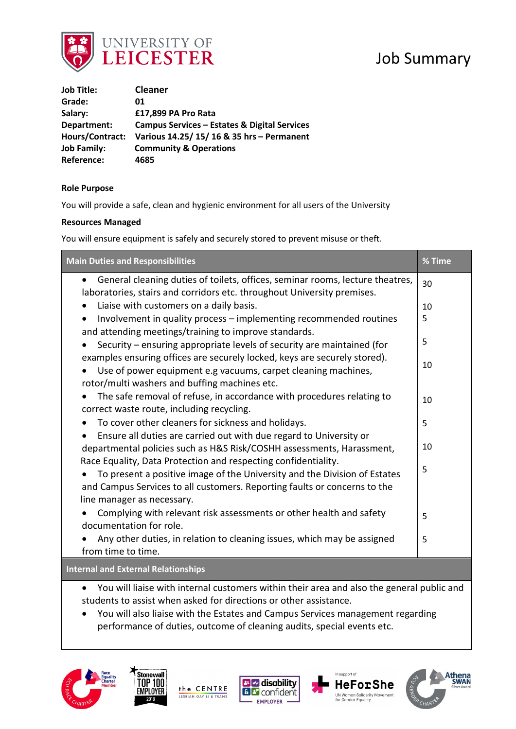

# Job Summary

| <b>Job Title:</b>  | <b>Cleaner</b>                               |
|--------------------|----------------------------------------------|
| Grade:             | 01                                           |
| Salary:            | £17,899 PA Pro Rata                          |
| Department:        | Campus Services - Estates & Digital Services |
| Hours/Contract:    | Various 14.25/ 15/ 16 & 35 hrs - Permanent   |
| <b>Job Family:</b> | <b>Community &amp; Operations</b>            |
| <b>Reference:</b>  | 4685                                         |

## **Role Purpose**

You will provide a safe, clean and hygienic environment for all users of the University

### **Resources Managed**

You will ensure equipment is safely and securely stored to prevent misuse or theft.

| <b>Main Duties and Responsibilities</b>                                                                                                                                                     |    |
|---------------------------------------------------------------------------------------------------------------------------------------------------------------------------------------------|----|
| General cleaning duties of toilets, offices, seminar rooms, lecture theatres,<br>$\bullet$<br>laboratories, stairs and corridors etc. throughout University premises.                       | 30 |
| Liaise with customers on a daily basis.<br>$\bullet$                                                                                                                                        |    |
| Involvement in quality process - implementing recommended routines<br>$\bullet$                                                                                                             | 5  |
| and attending meetings/training to improve standards.                                                                                                                                       | 5  |
| Security – ensuring appropriate levels of security are maintained (for                                                                                                                      |    |
| examples ensuring offices are securely locked, keys are securely stored).<br>Use of power equipment e.g vacuums, carpet cleaning machines,<br>rotor/multi washers and buffing machines etc. | 10 |
| The safe removal of refuse, in accordance with procedures relating to<br>correct waste route, including recycling.                                                                          | 10 |
| To cover other cleaners for sickness and holidays.                                                                                                                                          |    |
| Ensure all duties are carried out with due regard to University or                                                                                                                          |    |
| departmental policies such as H&S Risk/COSHH assessments, Harassment,                                                                                                                       |    |
| Race Equality, Data Protection and respecting confidentiality.                                                                                                                              |    |
| To present a positive image of the University and the Division of Estates                                                                                                                   | 5  |
| and Campus Services to all customers. Reporting faults or concerns to the                                                                                                                   |    |
| line manager as necessary.                                                                                                                                                                  |    |
| Complying with relevant risk assessments or other health and safety                                                                                                                         | 5  |
| documentation for role.                                                                                                                                                                     |    |
| Any other duties, in relation to cleaning issues, which may be assigned                                                                                                                     | 5  |
| from time to time.                                                                                                                                                                          |    |
| <b>Internal and External Relationships</b>                                                                                                                                                  |    |
| You will liaise with internal customers within their area and also the general public and                                                                                                   |    |

students to assist when asked for directions or other assistance. • You will also liaise with the Estates and Campus Services management regarding • performance of duties, outcome of cleaning audits, special events etc.









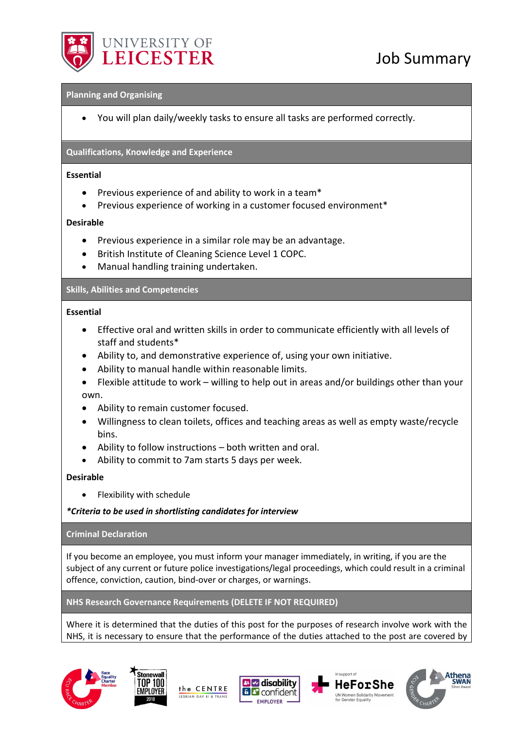

# Job Summary

### **Planning and Organising**

• You will plan daily/weekly tasks to ensure all tasks are performed correctly.

## **Qualifications, Knowledge and Experience**

### **Essential**

- Previous experience of and ability to work in a team\*
- Previous experience of working in a customer focused environment\*

## **Desirable**

- Previous experience in a similar role may be an advantage.
- British Institute of Cleaning Science Level 1 COPC.
- Manual handling training undertaken.

## **Skills, Abilities and Competencies**

## **Essential**

- Effective oral and written skills in order to communicate efficiently with all levels of staff and students\*
- Ability to, and demonstrative experience of, using your own initiative.
- Ability to manual handle within reasonable limits.
- Flexible attitude to work willing to help out in areas and/or buildings other than your own.
- Ability to remain customer focused.
- Willingness to clean toilets, offices and teaching areas as well as empty waste/recycle bins.
- Ability to follow instructions both written and oral.
- Ability to commit to 7am starts 5 days per week.

### **Desirable**

• Flexibility with schedule

*\*Criteria to be used in shortlisting candidates for interview*

### **Criminal Declaration**

If you become an employee, you must inform your manager immediately, in writing, if you are the subject of any current or future police investigations/legal proceedings, which could result in a criminal offence, conviction, caution, bind-over or charges, or warnings.

## **NHS Research Governance Requirements (DELETE IF NOT REQUIRED)**

Where it is determined that the duties of this post for the purposes of research involve work with the NHS, it is necessary to ensure that the performance of the duties attached to the post are covered by